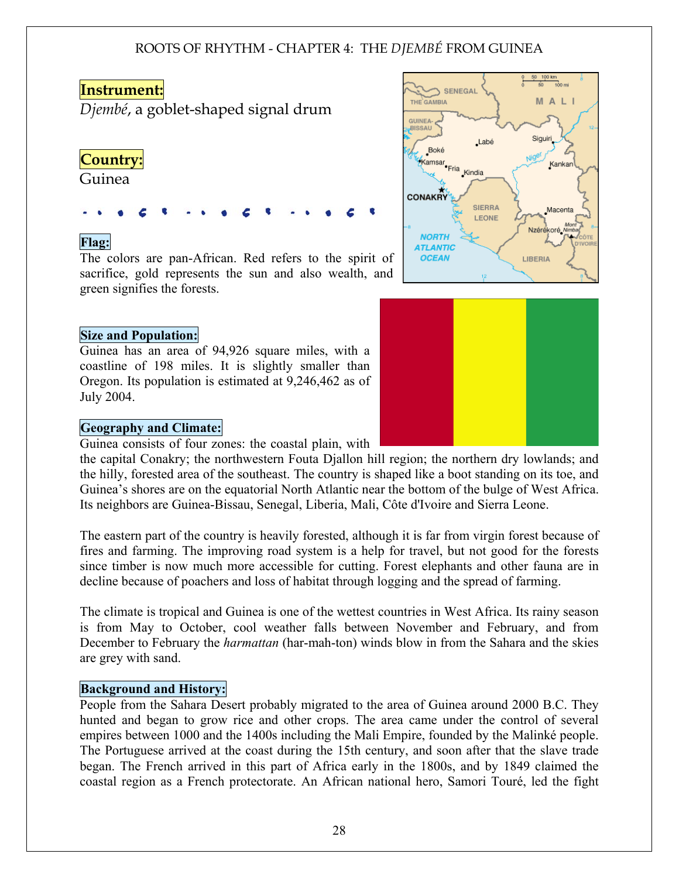## **Instrument:**

*Djembé*, a goblet-shaped signal drum

# **Country:**

Guinea

## Flag:

The colors are pan-African. Red refers to the spirit of sacrifice, gold represents the sun and also wealth, and green signifies the forests.

## Size and Population:

Guinea has an area of 94,926 square miles, with a coastline of 198 miles. It is slightly smaller than Oregon. Its population is estimated at 9,246,462 as of July 2004.

## Geography and Climate:

Guinea consists of four zones: the coastal plain, with

the capital Conakry; the northwestern Fouta Djallon hill region; the northern dry lowlands; and the hilly, forested area of the southeast. The country is shaped like a boot standing on its toe, and Guinea's shores are on the equatorial North Atlantic near the bottom of the bulge of West Africa. Its neighbors are Guinea-Bissau, Senegal, Liberia, Mali, Côte d'Ivoire and Sierra Leone.

The eastern part of the country is heavily forested, although it is far from virgin forest because of fires and farming. The improving road system is a help for travel, but not good for the forests since timber is now much more accessible for cutting. Forest elephants and other fauna are in decline because of poachers and loss of habitat through logging and the spread of farming.

The climate is tropical and Guinea is one of the wettest countries in West Africa. Its rainy season is from May to October, cool weather falls between November and February, and from December to February the *harmattan* (har-mah-ton) winds blow in from the Sahara and the skies are grey with sand.

## Background and History:

People from the Sahara Desert probably migrated to the area of Guinea around 2000 B.C. They hunted and began to grow rice and other crops. The area came under the control of several empires between 1000 and the 1400s including the Mali Empire, founded by the Malinké people. The Portuguese arrived at the coast during the 15th century, and soon after that the slave trade began. The French arrived in this part of Africa early in the 1800s, and by 1849 claimed the coastal region as a French protectorate. An African national hero, Samori Touré, led the fight



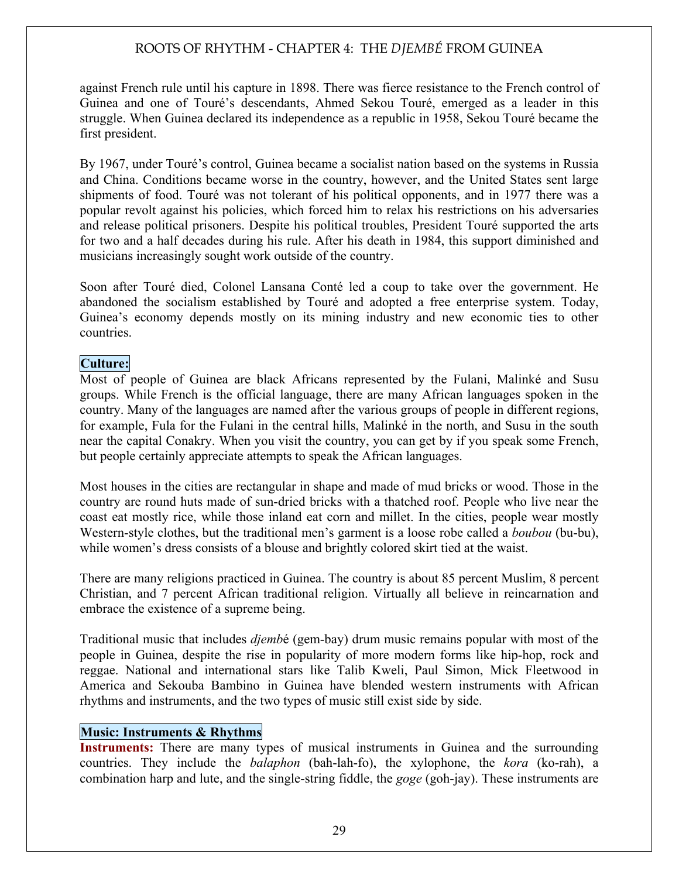against French rule until his capture in 1898. There was fierce resistance to the French control of Guinea and one of Touré's descendants, Ahmed Sekou Touré, emerged as a leader in this struggle. When Guinea declared its independence as a republic in 1958, Sekou Touré became the first president.

By 1967, under Touré's control, Guinea became a socialist nation based on the systems in Russia and China. Conditions became worse in the country, however, and the United States sent large shipments of food. Touré was not tolerant of his political opponents, and in 1977 there was a popular revolt against his policies, which forced him to relax his restrictions on his adversaries and release political prisoners. Despite his political troubles, President Touré supported the arts for two and a half decades during his rule. After his death in 1984, this support diminished and musicians increasingly sought work outside of the country.

Soon after Touré died, Colonel Lansana Conté led a coup to take over the government. He abandoned the socialism established by Touré and adopted a free enterprise system. Today, Guinea's economy depends mostly on its mining industry and new economic ties to other countries.

## Culture:

Most of people of Guinea are black Africans represented by the Fulani, Malinké and Susu groups. While French is the official language, there are many African languages spoken in the country. Many of the languages are named after the various groups of people in different regions, for example, Fula for the Fulani in the central hills, Malinké in the north, and Susu in the south near the capital Conakry. When you visit the country, you can get by if you speak some French, but people certainly appreciate attempts to speak the African languages.

Most houses in the cities are rectangular in shape and made of mud bricks or wood. Those in the country are round huts made of sun-dried bricks with a thatched roof. People who live near the coast eat mostly rice, while those inland eat corn and millet. In the cities, people wear mostly Western-style clothes, but the traditional men's garment is a loose robe called a *boubou* (bu-bu), while women's dress consists of a blouse and brightly colored skirt tied at the waist.

There are many religions practiced in Guinea. The country is about 85 percent Muslim, 8 percent Christian, and 7 percent African traditional religion. Virtually all believe in reincarnation and embrace the existence of a supreme being.

Traditional music that includes *djemb*é (gem-bay) drum music remains popular with most of the people in Guinea, despite the rise in popularity of more modern forms like hip-hop, rock and reggae. National and international stars like Talib Kweli, Paul Simon, Mick Fleetwood in America and Sekouba Bambino in Guinea have blended western instruments with African rhythms and instruments, and the two types of music still exist side by side.

## Music: Instruments & Rhythms

Instruments: There are many types of musical instruments in Guinea and the surrounding countries. They include the *balaphon* (bah-lah-fo), the xylophone, the *kora* (ko-rah), a combination harp and lute, and the single-string fiddle, the *goge* (goh-jay). These instruments are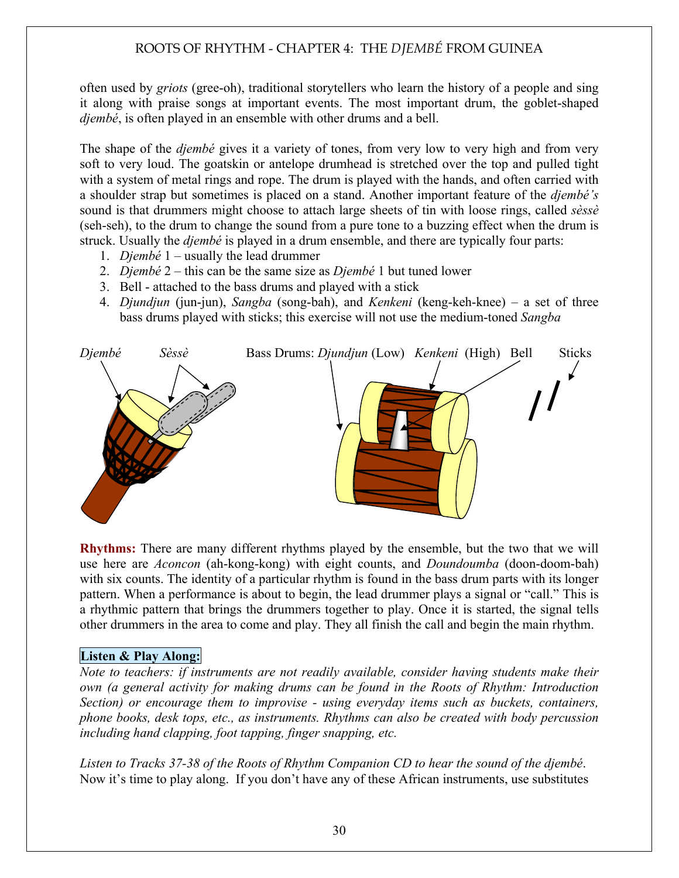often used by *griots* (gree-oh), traditional storytellers who learn the history of a people and sing it along with praise songs at important events. The most important drum, the goblet-shaped *djembé*, is often played in an ensemble with other drums and a bell.

The shape of the *djembé* gives it a variety of tones, from very low to very high and from very soft to very loud. The goatskin or antelope drumhead is stretched over the top and pulled tight with a system of metal rings and rope. The drum is played with the hands, and often carried with a shoulder strap but sometimes is placed on a stand. Another important feature of the *djembé's* sound is that drummers might choose to attach large sheets of tin with loose rings, called *sèssè* (seh-seh), to the drum to change the sound from a pure tone to a buzzing effect when the drum is struck. Usually the *djembé* is played in a drum ensemble, and there are typically four parts:

- 1. *Djembé* 1 usually the lead drummer
- 2. *Djembé* 2 this can be the same size as *Djembé* 1 but tuned lower
- 3. Bell attached to the bass drums and played with a stick
- 4. *Djundjun* (jun-jun), *Sangba* (song-bah), and *Kenkeni* (keng-keh-knee) a set of three bass drums played with sticks; this exercise will not use the medium-toned *Sangba*



Rhythms: There are many different rhythms played by the ensemble, but the two that we will use here are *Aconcon* (ah-kong-kong) with eight counts, and *Doundoumba* (doon-doom-bah) with six counts. The identity of a particular rhythm is found in the bass drum parts with its longer pattern. When a performance is about to begin, the lead drummer plays a signal or "call." This is a rhythmic pattern that brings the drummers together to play. Once it is started, the signal tells other drummers in the area to come and play. They all finish the call and begin the main rhythm.

## Listen & Play Along:

*Note to teachers: if instruments are not readily available, consider having students make their own (a general activity for making drums can be found in the Roots of Rhythm: Introduction Section) or encourage them to improvise - using everyday items such as buckets, containers, phone books, desk tops, etc., as instruments. Rhythms can also be created with body percussion including hand clapping, foot tapping, finger snapping, etc.* 

*Listen to Tracks 37-38 of the Roots of Rhythm Companion CD to hear the sound of the djembé*. Now it's time to play along. If you don't have any of these African instruments, use substitutes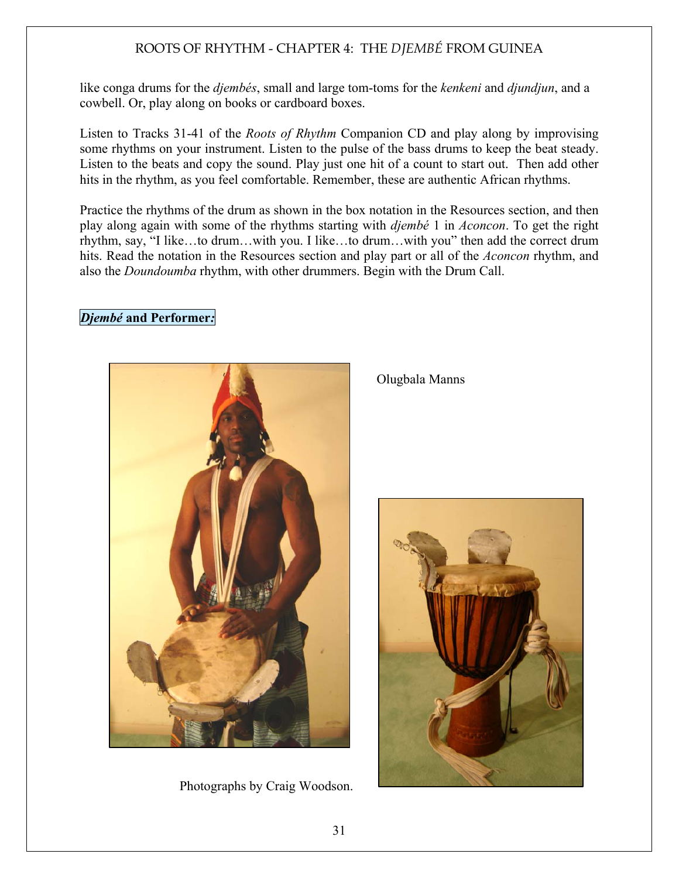like conga drums for the *djembés*, small and large tom-toms for the *kenkeni* and *djundjun*, and a cowbell. Or, play along on books or cardboard boxes.

Listen to Tracks 31-41 of the *Roots of Rhythm* Companion CD and play along by improvising some rhythms on your instrument. Listen to the pulse of the bass drums to keep the beat steady. Listen to the beats and copy the sound. Play just one hit of a count to start out. Then add other hits in the rhythm, as you feel comfortable. Remember, these are authentic African rhythms.

Practice the rhythms of the drum as shown in the box notation in the Resources section, and then play along again with some of the rhythms starting with *djembé* 1 in *Aconcon*. To get the right rhythm, say, "I like…to drum…with you. I like…to drum…with you" then add the correct drum hits. Read the notation in the Resources section and play part or all of the *Aconcon* rhythm, and also the *Doundoumba* rhythm, with other drummers. Begin with the Drum Call.

## *Djembé* and Performer*:*



Photographs by Craig Woodson.

Olugbala Manns